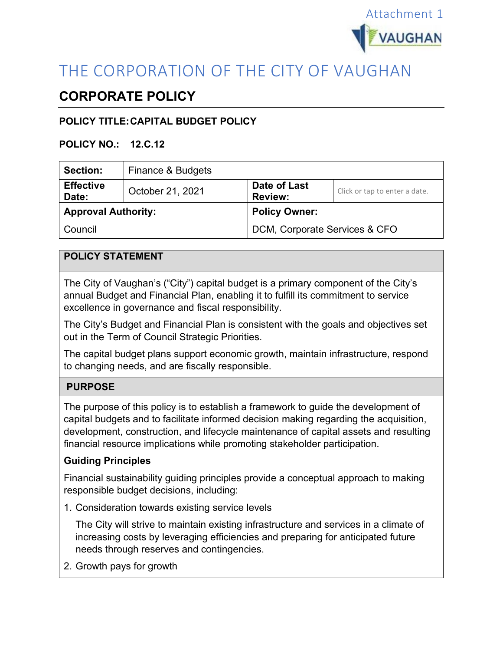

# THE CORPORATION OF THE CITY OF VAUGHAN

## **CORPORATE POLICY**

## **POLICY TITLE:CAPITAL BUDGET POLICY**

#### **POLICY NO.: 12.C.12**

| <b>Section:</b>            | Finance & Budgets |                                |                               |
|----------------------------|-------------------|--------------------------------|-------------------------------|
| <b>Effective</b><br>Date:  | October 21, 2021  | Date of Last<br><b>Review:</b> | Click or tap to enter a date. |
| <b>Approval Authority:</b> |                   | <b>Policy Owner:</b>           |                               |
| Council                    |                   | DCM, Corporate Services & CFO  |                               |

## **POLICY STATEMENT**

The City of Vaughan's ("City") capital budget is a primary component of the City's annual Budget and Financial Plan, enabling it to fulfill its commitment to service excellence in governance and fiscal responsibility.

The City's Budget and Financial Plan is consistent with the goals and objectives set out in the Term of Council Strategic Priorities.

The capital budget plans support economic growth, maintain infrastructure, respond to changing needs, and are fiscally responsible.

## **PURPOSE**

The purpose of this policy is to establish a framework to guide the development of capital budgets and to facilitate informed decision making regarding the acquisition, development, construction, and lifecycle maintenance of capital assets and resulting financial resource implications while promoting stakeholder participation.

#### **Guiding Principles**

Financial sustainability guiding principles provide a conceptual approach to making responsible budget decisions, including:

1. Consideration towards existing service levels

The City will strive to maintain existing infrastructure and services in a climate of increasing costs by leveraging efficiencies and preparing for anticipated future needs through reserves and contingencies.

2. Growth pays for growth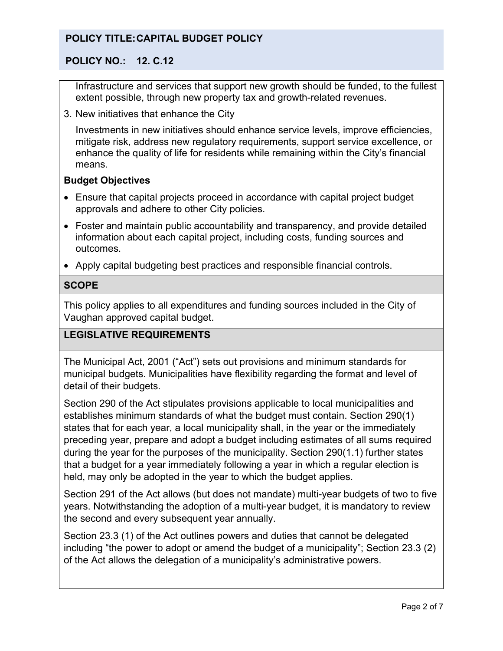### **POLICY NO.: 12. C.12**

Infrastructure and services that support new growth should be funded, to the fullest extent possible, through new property tax and growth-related revenues.

3. New initiatives that enhance the City

Investments in new initiatives should enhance service levels, improve efficiencies, mitigate risk, address new regulatory requirements, support service excellence, or enhance the quality of life for residents while remaining within the City's financial means.

#### **Budget Objectives**

- Ensure that capital projects proceed in accordance with capital project budget approvals and adhere to other City policies.
- Foster and maintain public accountability and transparency, and provide detailed information about each capital project, including costs, funding sources and outcomes.
- Apply capital budgeting best practices and responsible financial controls.

#### **SCOPE**

This policy applies to all expenditures and funding sources included in the City of Vaughan approved capital budget.

#### **LEGISLATIVE REQUIREMENTS**

The Municipal Act, 2001 ("Act") sets out provisions and minimum standards for municipal budgets. Municipalities have flexibility regarding the format and level of detail of their budgets.

Section 290 of the Act stipulates provisions applicable to local municipalities and establishes minimum standards of what the budget must contain. Section 290(1) states that for each year, a local municipality shall, in the year or the immediately preceding year, prepare and adopt a budget including estimates of all sums required during the year for the purposes of the municipality. Section 290(1.1) further states that a budget for a year immediately following a year in which a regular election is held, may only be adopted in the year to which the budget applies.

Section 291 of the Act allows (but does not mandate) multi-year budgets of two to five years. Notwithstanding the adoption of a multi-year budget, it is mandatory to review the second and every subsequent year annually.

Section 23.3 (1) of the Act outlines powers and duties that cannot be delegated including "the power to adopt or amend the budget of a municipality"; Section 23.3 (2) of the Act allows the delegation of a municipality's administrative powers.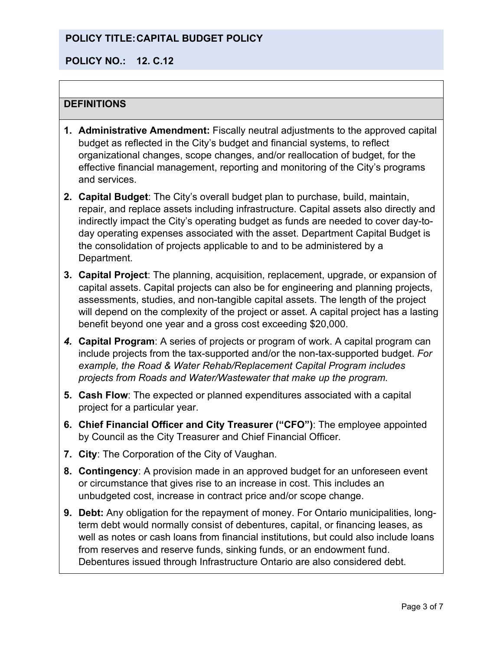### **POLICY NO.: 12. C.12**

### **DEFINITIONS**

- **1. Administrative Amendment:** Fiscally neutral adjustments to the approved capital budget as reflected in the City's budget and financial systems, to reflect organizational changes, scope changes, and/or reallocation of budget, for the effective financial management, reporting and monitoring of the City's programs and services.
- **2. Capital Budget**: The City's overall budget plan to purchase, build, maintain, repair, and replace assets including infrastructure. Capital assets also directly and indirectly impact the City's operating budget as funds are needed to cover day-today operating expenses associated with the asset. Department Capital Budget is the consolidation of projects applicable to and to be administered by a Department.
- **3. Capital Project**: The planning, acquisition, replacement, upgrade, or expansion of capital assets. Capital projects can also be for engineering and planning projects, assessments, studies, and non-tangible capital assets. The length of the project will depend on the complexity of the project or asset. A capital project has a lasting benefit beyond one year and a gross cost exceeding \$20,000.
- *4.* **Capital Program**: A series of projects or program of work. A capital program can include projects from the tax-supported and/or the non-tax-supported budget. *For example, the Road & Water Rehab/Replacement Capital Program includes projects from Roads and Water/Wastewater that make up the program.*
- **5. Cash Flow**: The expected or planned expenditures associated with a capital project for a particular year.
- **6. Chief Financial Officer and City Treasurer ("CFO")**: The employee appointed by Council as the City Treasurer and Chief Financial Officer.
- **7. City**: The Corporation of the City of Vaughan.
- **8. Contingency**: A provision made in an approved budget for an unforeseen event or circumstance that gives rise to an increase in cost. This includes an unbudgeted cost, increase in contract price and/or scope change.
- **9. Debt:** Any obligation for the repayment of money. For Ontario municipalities, longterm debt would normally consist of debentures, capital, or financing leases, as well as notes or cash loans from financial institutions, but could also include loans from reserves and reserve funds, sinking funds, or an endowment fund. Debentures issued through Infrastructure Ontario are also considered debt.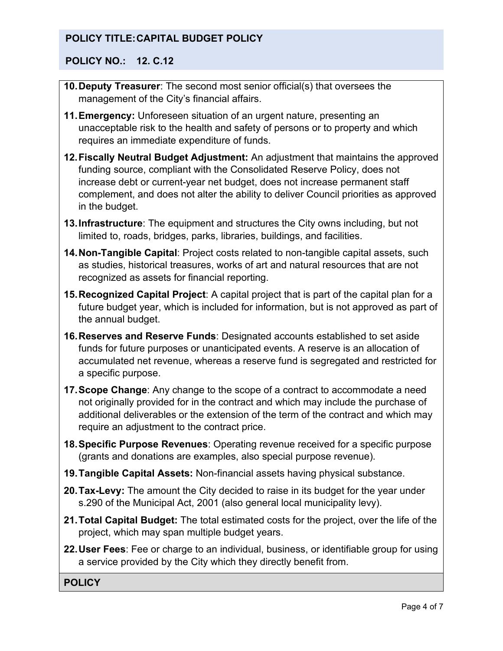## **POLICY NO.: 12. C.12**

- **10.Deputy Treasurer**: The second most senior official(s) that oversees the management of the City's financial affairs.
- **11.Emergency:** Unforeseen situation of an urgent nature, presenting an unacceptable risk to the health and safety of persons or to property and which requires an immediate expenditure of funds.
- **12.Fiscally Neutral Budget Adjustment:** An adjustment that maintains the approved funding source, compliant with the Consolidated Reserve Policy, does not increase debt or current-year net budget, does not increase permanent staff complement, and does not alter the ability to deliver Council priorities as approved in the budget.
- **13.Infrastructure**: The equipment and structures the City owns including, but not limited to, roads, bridges, parks, libraries, buildings, and facilities.
- **14.Non-Tangible Capital**: Project costs related to non-tangible capital assets, such as studies, historical treasures, works of art and natural resources that are not recognized as assets for financial reporting.
- **15.Recognized Capital Project**: A capital project that is part of the capital plan for a future budget year, which is included for information, but is not approved as part of the annual budget.
- **16.Reserves and Reserve Funds**: Designated accounts established to set aside funds for future purposes or unanticipated events. A reserve is an allocation of accumulated net revenue, whereas a reserve fund is segregated and restricted for a specific purpose.
- **17.Scope Change**: Any change to the scope of a contract to accommodate a need not originally provided for in the contract and which may include the purchase of additional deliverables or the extension of the term of the contract and which may require an adjustment to the contract price.
- **18.Specific Purpose Revenues**: Operating revenue received for a specific purpose (grants and donations are examples, also special purpose revenue).
- **19.Tangible Capital Assets:** Non-financial assets having physical substance.
- **20.Tax-Levy:** The amount the City decided to raise in its budget for the year under s.290 of the Municipal Act, 2001 (also general local municipality levy).
- **21.Total Capital Budget:** The total estimated costs for the project, over the life of the project, which may span multiple budget years.
- **22.User Fees**: Fee or charge to an individual, business, or identifiable group for using a service provided by the City which they directly benefit from.

**POLICY**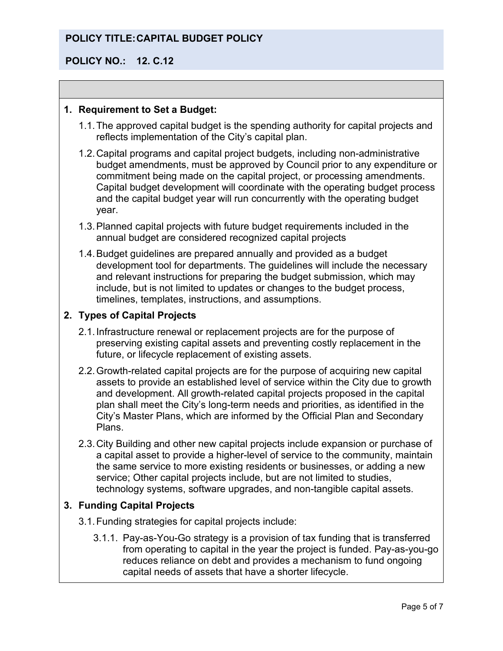### **POLICY NO.: 12. C.12**

#### **1. Requirement to Set a Budget:**

- 1.1.The approved capital budget is the spending authority for capital projects and reflects implementation of the City's capital plan.
- 1.2.Capital programs and capital project budgets, including non-administrative budget amendments, must be approved by Council prior to any expenditure or commitment being made on the capital project, or processing amendments. Capital budget development will coordinate with the operating budget process and the capital budget year will run concurrently with the operating budget year.
- 1.3.Planned capital projects with future budget requirements included in the annual budget are considered recognized capital projects
- 1.4.Budget guidelines are prepared annually and provided as a budget development tool for departments. The guidelines will include the necessary and relevant instructions for preparing the budget submission, which may include, but is not limited to updates or changes to the budget process, timelines, templates, instructions, and assumptions.

#### **2. Types of Capital Projects**

- 2.1.Infrastructure renewal or replacement projects are for the purpose of preserving existing capital assets and preventing costly replacement in the future, or lifecycle replacement of existing assets.
- 2.2.Growth-related capital projects are for the purpose of acquiring new capital assets to provide an established level of service within the City due to growth and development. All growth-related capital projects proposed in the capital plan shall meet the City's long-term needs and priorities, as identified in the City's Master Plans, which are informed by the Official Plan and Secondary Plans.
- 2.3.City Building and other new capital projects include expansion or purchase of a capital asset to provide a higher-level of service to the community, maintain the same service to more existing residents or businesses, or adding a new service; Other capital projects include, but are not limited to studies, technology systems, software upgrades, and non-tangible capital assets.

#### **3. Funding Capital Projects**

- 3.1.Funding strategies for capital projects include:
	- 3.1.1. Pay-as-You-Go strategy is a provision of tax funding that is transferred from operating to capital in the year the project is funded. Pay-as-you-go reduces reliance on debt and provides a mechanism to fund ongoing capital needs of assets that have a shorter lifecycle.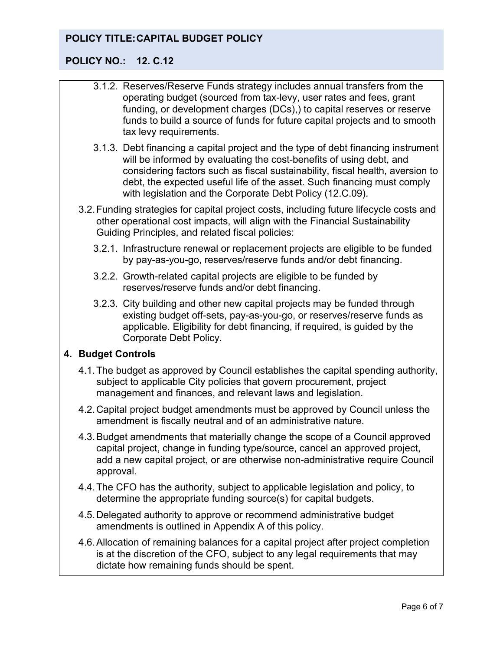## **POLICY NO.: 12. C.12**

- 3.1.2. Reserves/Reserve Funds strategy includes annual transfers from the operating budget (sourced from tax-levy, user rates and fees, grant funding, or development charges (DCs),) to capital reserves or reserve funds to build a source of funds for future capital projects and to smooth tax levy requirements.
- 3.1.3. Debt financing a capital project and the type of debt financing instrument will be informed by evaluating the cost-benefits of using debt, and considering factors such as fiscal sustainability, fiscal health, aversion to debt, the expected useful life of the asset. Such financing must comply with legislation and the Corporate Debt Policy (12.C.09).
- 3.2.Funding strategies for capital project costs, including future lifecycle costs and other operational cost impacts, will align with the Financial Sustainability Guiding Principles, and related fiscal policies:
	- 3.2.1. Infrastructure renewal or replacement projects are eligible to be funded by pay-as-you-go, reserves/reserve funds and/or debt financing.
	- 3.2.2. Growth-related capital projects are eligible to be funded by reserves/reserve funds and/or debt financing.
	- 3.2.3. City building and other new capital projects may be funded through existing budget off-sets, pay-as-you-go, or reserves/reserve funds as applicable. Eligibility for debt financing, if required, is guided by the Corporate Debt Policy.

## **4. Budget Controls**

- 4.1.The budget as approved by Council establishes the capital spending authority, subject to applicable City policies that govern procurement, project management and finances, and relevant laws and legislation.
- 4.2.Capital project budget amendments must be approved by Council unless the amendment is fiscally neutral and of an administrative nature.
- 4.3.Budget amendments that materially change the scope of a Council approved capital project, change in funding type/source, cancel an approved project, add a new capital project, or are otherwise non-administrative require Council approval.
- 4.4.The CFO has the authority, subject to applicable legislation and policy, to determine the appropriate funding source(s) for capital budgets.
- 4.5.Delegated authority to approve or recommend administrative budget amendments is outlined in Appendix A of this policy.
- 4.6.Allocation of remaining balances for a capital project after project completion is at the discretion of the CFO, subject to any legal requirements that may dictate how remaining funds should be spent.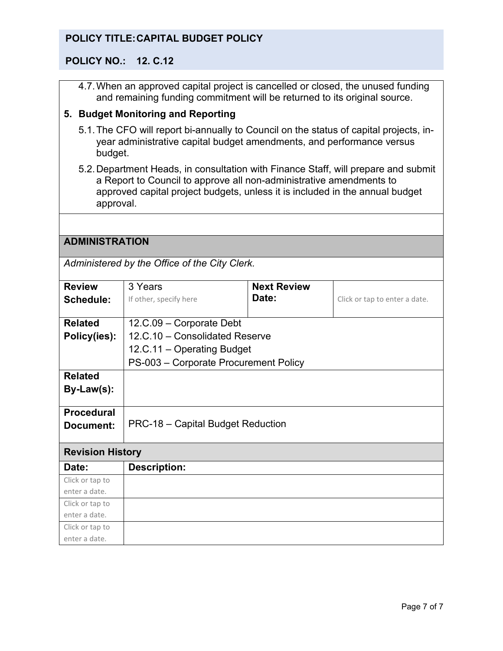#### **POLICY NO.: 12. C.12**

4.7.When an approved capital project is cancelled or closed, the unused funding and remaining funding commitment will be returned to its original source.

#### **5. Budget Monitoring and Reporting**

- 5.1.The CFO will report bi-annually to Council on the status of capital projects, inyear administrative capital budget amendments, and performance versus budget.
- 5.2.Department Heads, in consultation with Finance Staff, will prepare and submit a Report to Council to approve all non-administrative amendments to approved capital project budgets, unless it is included in the annual budget approval.

#### **ADMINISTRATION**

*Administered by the Office of the City Clerk.*

| <b>Review</b>           | 3 Years                               | <b>Next Review</b> |                               |  |
|-------------------------|---------------------------------------|--------------------|-------------------------------|--|
| <b>Schedule:</b>        | If other, specify here                | Date:              | Click or tap to enter a date. |  |
|                         |                                       |                    |                               |  |
| <b>Related</b>          | 12.C.09 - Corporate Debt              |                    |                               |  |
| Policy(ies):            | 12.C.10 - Consolidated Reserve        |                    |                               |  |
|                         | 12.C.11 – Operating Budget            |                    |                               |  |
|                         | PS-003 - Corporate Procurement Policy |                    |                               |  |
| <b>Related</b>          |                                       |                    |                               |  |
| By-Law(s):              |                                       |                    |                               |  |
|                         |                                       |                    |                               |  |
| <b>Procedural</b>       |                                       |                    |                               |  |
| Document:               | PRC-18 - Capital Budget Reduction     |                    |                               |  |
|                         |                                       |                    |                               |  |
| <b>Revision History</b> |                                       |                    |                               |  |
| Date:                   | <b>Description:</b>                   |                    |                               |  |
| Click or tap to         |                                       |                    |                               |  |
| enter a date.           |                                       |                    |                               |  |
| Click or tap to         |                                       |                    |                               |  |
| enter a date.           |                                       |                    |                               |  |
| Click or tap to         |                                       |                    |                               |  |
| enter a date.           |                                       |                    |                               |  |